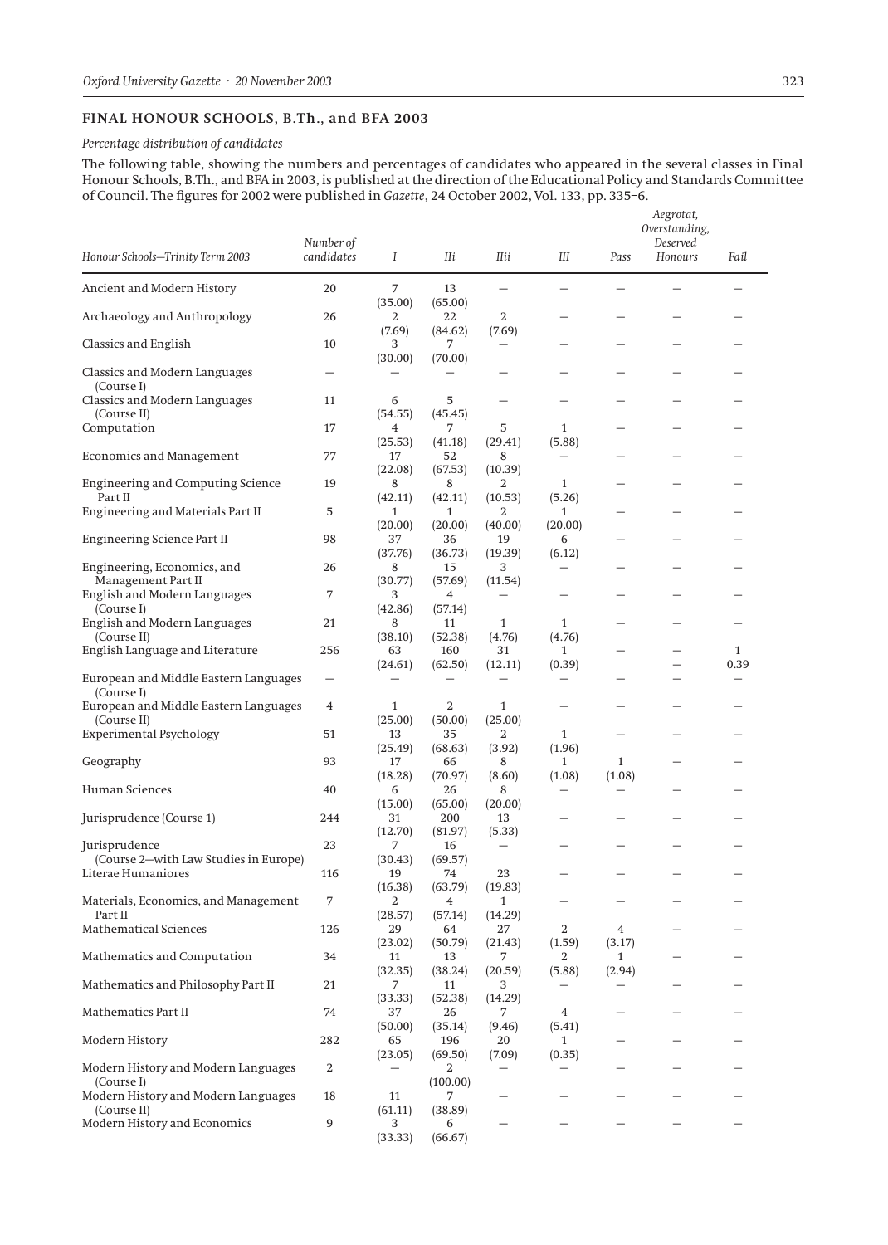## **FINAL HONOUR SCHOOLS, B.Th., and BFA 2003**

## *Percentage distribution of candidates*

The following table, showing the numbers and percentages of candidates who appeared in the several classes in Final Honour Schools, B.Th., and BFA in 2003, is published at the direction of the Educational Policy and Standards Committee of Council. The figures for 2002 were published in *Gazette*, 24 October 2002, Vol. 133, pp. 335–6.

| Honour Schools-Trinity Term 2003                     | Number of<br>candidates  | Ι                        | Шi                       | Пii                                | Ш                      | Pass         | Aegrotat,<br>Overstanding,<br>Deserved<br>Honours | Fail         |
|------------------------------------------------------|--------------------------|--------------------------|--------------------------|------------------------------------|------------------------|--------------|---------------------------------------------------|--------------|
| Ancient and Modern History                           | 20                       | 7                        | 13                       | $\overline{\phantom{0}}$           |                        |              |                                                   |              |
| Archaeology and Anthropology                         | 26                       | (35.00)<br>2<br>(7.69)   | (65.00)<br>22<br>(84.62) | 2<br>(7.69)                        |                        |              |                                                   |              |
| <b>Classics and English</b>                          | 10                       | 3<br>(30.00)             | 7<br>(70.00)             |                                    |                        |              |                                                   |              |
| <b>Classics and Modern Languages</b><br>(Course I)   | $\overline{\phantom{0}}$ | $\overline{\phantom{0}}$ |                          |                                    |                        |              | -                                                 |              |
| Classics and Modern Languages<br>(Course II)         | 11                       | 6<br>(54.55)             | 5<br>(45.45)             |                                    |                        |              |                                                   |              |
| Computation                                          | 17                       | 4                        | 7                        | 5                                  | $\mathbf{1}$           |              | -                                                 |              |
| Economics and Management                             | 77                       | (25.53)<br>17<br>(22.08) | (41.18)<br>52<br>(67.53) | (29.41)<br>8<br>(10.39)            | (5.88)                 |              |                                                   |              |
| <b>Engineering and Computing Science</b><br>Part II  | 19                       | 8<br>(42.11)             | 8<br>(42.11)             | 2<br>(10.53)                       | $\mathbf{1}$<br>(5.26) |              |                                                   |              |
| Engineering and Materials Part II                    | 5                        | 1                        | $\mathbf{1}$             | 2                                  | $\mathbf{1}$           |              |                                                   |              |
|                                                      |                          | (20.00)                  | (20.00)                  | (40.00)                            | (20.00)                |              |                                                   |              |
| <b>Engineering Science Part II</b>                   | 98                       | 37<br>(37.76)            | 36<br>(36.73)            | 19<br>(19.39)                      | 6<br>(6.12)            |              |                                                   |              |
| Engineering, Economics, and                          | 26                       | 8                        | 15                       | 3                                  | -                      |              |                                                   |              |
| Management Part II                                   |                          | (30.77)                  | (57.69)                  | (11.54)                            |                        |              |                                                   |              |
| English and Modern Languages                         | 7                        | 3                        | 4                        |                                    |                        |              |                                                   |              |
| (Course I)<br>English and Modern Languages           | 21                       | (42.86)<br>8             | (57.14)<br>11            | $\mathbf{1}$                       | $\mathbf{1}$           |              |                                                   |              |
| (Course II)                                          |                          | (38.10)                  | (52.38)                  | (4.76)                             | (4.76)                 |              |                                                   |              |
| English Language and Literature                      | 256                      | 63                       | 160                      | 31                                 | $\mathbf{1}$           |              | $\overline{\phantom{0}}$                          | $\mathbf{1}$ |
|                                                      |                          | (24.61)                  | (62.50)                  | (12.11)                            | (0.39)                 |              |                                                   | 0.39         |
| European and Middle Eastern Languages<br>(Course I)  | —                        |                          | $\overline{\phantom{0}}$ | $\overline{\phantom{0}}$           | —                      |              |                                                   |              |
| European and Middle Eastern Languages<br>(Course II) | 4                        | 1<br>(25.00)             | 2<br>(50.00)             | $\mathbf{1}$<br>(25.00)            |                        |              |                                                   |              |
| <b>Experimental Psychology</b>                       | 51                       | 13                       | 35                       | 2                                  | 1                      |              |                                                   |              |
|                                                      |                          | (25.49)                  | (68.63)                  | (3.92)                             | (1.96)                 |              |                                                   |              |
| Geography                                            | 93                       | 17                       | 66                       | 8                                  | $\mathbf{1}$           | $\mathbf{1}$ |                                                   |              |
| Human Sciences                                       | 40                       | (18.28)<br>6             | (70.97)<br>26            | (8.60)<br>8                        | (1.08)<br>-            | (1.08)       |                                                   |              |
|                                                      |                          | (15.00)                  | (65.00)                  | (20.00)                            |                        |              |                                                   |              |
| Jurisprudence (Course 1)                             | 244                      | 31                       | 200                      | 13                                 |                        |              |                                                   |              |
| Jurisprudence                                        | 23                       | (12.70)<br>7             | (81.97)<br>16            | (5.33)<br>$\overline{\phantom{0}}$ |                        |              |                                                   |              |
| (Course 2–with Law Studies in Europe)                |                          | (30.43)                  | (69.57)                  |                                    |                        |              |                                                   |              |
| Literae Humaniores                                   | 116                      | 19                       | 74                       | 23                                 |                        |              |                                                   |              |
|                                                      |                          | (16.38)                  | (63.79)                  | (19.83)                            |                        |              |                                                   |              |
| Materials, Economics, and Management<br>Part II      | 7                        | 2<br>(28.57)             | 4<br>(57.14)             | 1<br>(14.29)                       |                        |              |                                                   |              |
| Mathematical Sciences                                | 126                      | 29                       | 64                       | 27                                 | 2                      | 4            |                                                   |              |
|                                                      |                          | (23.02)                  | (50.79)                  | (21.43)                            | (1.59)                 | (3.17)       |                                                   |              |
| Mathematics and Computation                          | 34                       | 11                       | 13<br>(38.24)            | 7                                  | $\overline{a}$         | $\mathbf{1}$ |                                                   |              |
| Mathematics and Philosophy Part II                   | 21                       | (32.35)<br>7             | 11                       | (20.59)<br>З                       | (5.88)                 | (2.94)       |                                                   |              |
|                                                      |                          | (33.33)                  | (52.38)                  | (14.29)                            |                        |              |                                                   |              |
| Mathematics Part II                                  | 74                       | 37                       | 26                       | 7                                  | 4                      |              |                                                   |              |
| Modern History                                       | 282                      | (50.00)<br>65            | (35.14)<br>196           | (9.46)<br>20                       | (5.41)<br>$\mathbf{1}$ |              |                                                   |              |
|                                                      |                          | (23.05)                  | (69.50)                  | (7.09)                             | (0.35)                 |              |                                                   |              |
| Modern History and Modern Languages                  | $\overline{a}$           |                          | 2                        |                                    |                        |              |                                                   |              |
| (Course I)                                           |                          |                          | (100.00)                 |                                    |                        |              |                                                   |              |
| Modern History and Modern Languages<br>(Course II)   | 18                       | 11<br>(61.11)            | 7<br>(38.89)             |                                    |                        |              |                                                   |              |
| Modern History and Economics                         | 9                        | 3                        | 6                        |                                    |                        |              |                                                   |              |
|                                                      |                          | (33.33)                  | (66.67)                  |                                    |                        |              |                                                   |              |